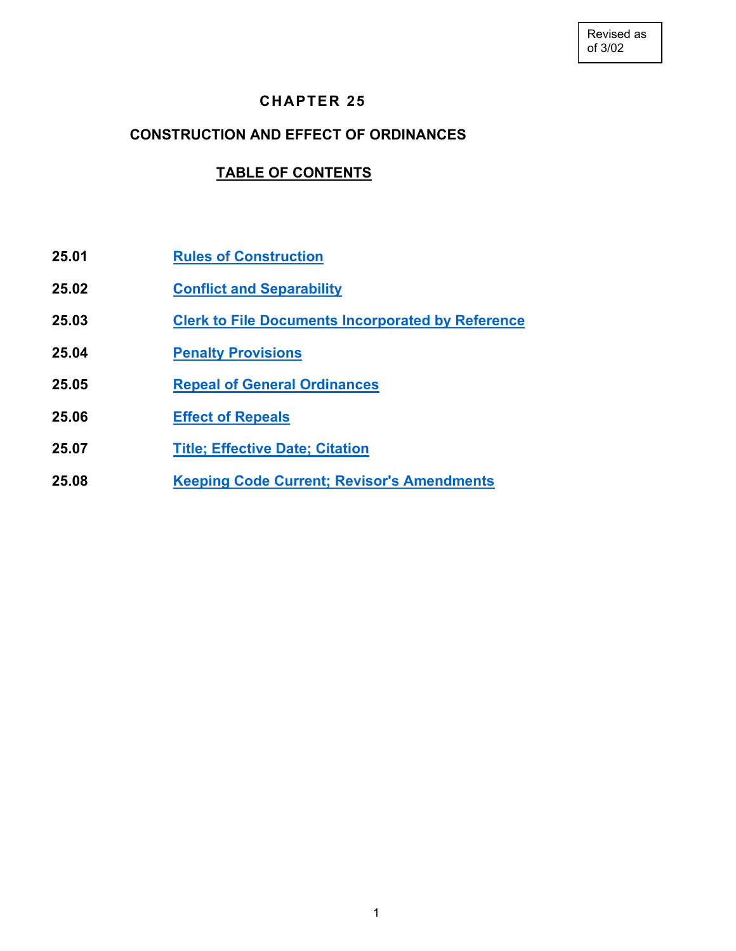# **CHAPTER 25**

### **CONSTRUCTION AND EFFECT OF ORDINANCES**

# **TABLE OF CONTENTS**

- **25.01 Rules of [Construction](#page-1-0)**
- **25.02 [Conflict and](#page-1-1) Separability**
- **25.03 Clerk to [File Documents Incorporated by](#page-1-2) Reference**
- **25.04 [Penalty Provisions](#page-1-3)**
- **25.05 Repeal of [General Ordinances](#page-3-0)**
- **25.06 [Effect of](#page-3-1) Repeals**
- **25.07 [Title; Effective Date; Citation](#page-4-0)**
- **25.08 [Keeping Code Current; Revisor's Amendments](#page-4-1)**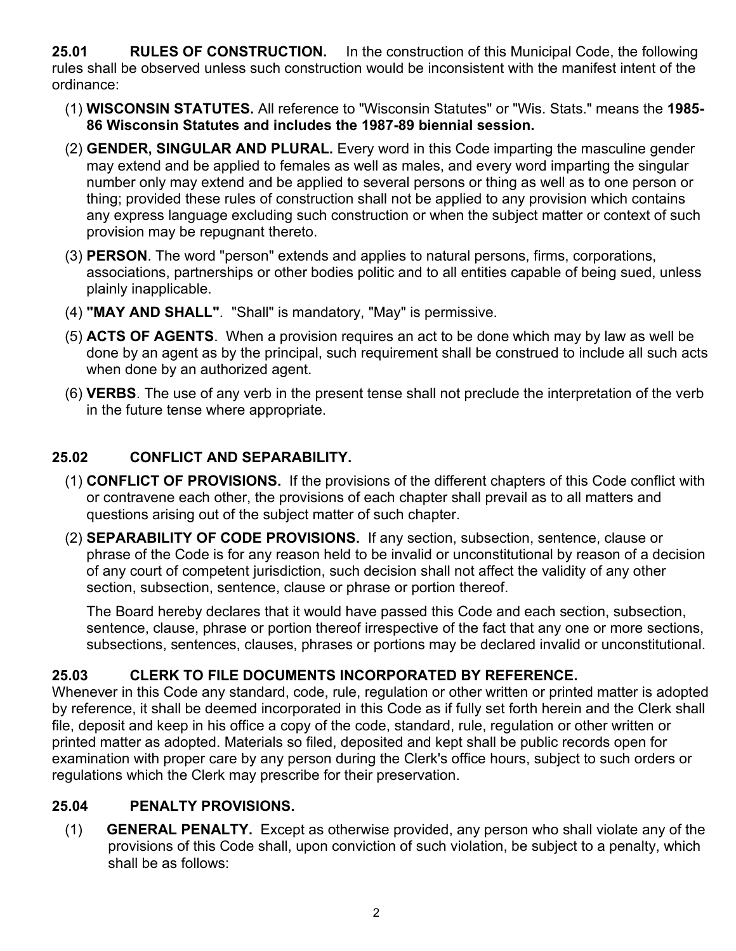<span id="page-1-0"></span>**25.01 RULES OF CONSTRUCTION.** In the construction of this Municipal Code, the following rules shall be observed unless such construction would be inconsistent with the manifest intent of the ordinance:

- (1) **WISCONSIN STATUTES.** All reference to "Wisconsin Statutes" or "Wis. Stats." means the **1985- 86 Wisconsin Statutes and includes the 1987-89 biennial session.**
- (2) **GENDER, SINGULAR AND PLURAL.** Every word in this Code imparting the masculine gender may extend and be applied to females as well as males, and every word imparting the singular number only may extend and be applied to several persons or thing as well as to one person or thing; provided these rules of construction shall not be applied to any provision which contains any express language excluding such construction or when the subject matter or context of such provision may be repugnant thereto.
- (3) **PERSON**. The word "person" extends and applies to natural persons, firms, corporations, associations, partnerships or other bodies politic and to all entities capable of being sued, unless plainly inapplicable.
- (4) **"MAY AND SHALL"**. "Shall" is mandatory, "May" is permissive.
- (5) **ACTS OF AGENTS**. When a provision requires an act to be done which may by law as well be done by an agent as by the principal, such requirement shall be construed to include all such acts when done by an authorized agent.
- (6) **VERBS**. The use of any verb in the present tense shall not preclude the interpretation of the verb in the future tense where appropriate.

# <span id="page-1-1"></span>**25.02 CONFLICT AND SEPARABILITY.**

- (1) **CONFLICT OF PROVISIONS.** If the provisions of the different chapters of this Code conflict with or contravene each other, the provisions of each chapter shall prevail as to all matters and questions arising out of the subject matter of such chapter.
- (2) **SEPARABILITY OF CODE PROVISIONS.** If any section, subsection, sentence, clause or phrase of the Code is for any reason held to be invalid or unconstitutional by reason of a decision of any court of competent jurisdiction, such decision shall not affect the validity of any other section, subsection, sentence, clause or phrase or portion thereof.

<span id="page-1-2"></span>The Board hereby declares that it would have passed this Code and each section, subsection, sentence, clause, phrase or portion thereof irrespective of the fact that any one or more sections, subsections, sentences, clauses, phrases or portions may be declared invalid or unconstitutional.

# **25.03 CLERK TO FILE DOCUMENTS INCORPORATED BY REFERENCE.**

Whenever in this Code any standard, code, rule, regulation or other written or printed matter is adopted by reference, it shall be deemed incorporated in this Code as if fully set forth herein and the Clerk shall file, deposit and keep in his office a copy of the code, standard, rule, regulation or other written or printed matter as adopted. Materials so filed, deposited and kept shall be public records open for examination with proper care by any person during the Clerk's office hours, subject to such orders or regulations which the Clerk may prescribe for their preservation.

### **25.04 PENALTY PROVISIONS.**

<span id="page-1-3"></span>(1) **GENERAL PENALTY.** Except as otherwise provided, any person who shall violate any of the provisions of this Code shall, upon conviction of such violation, be subject to a penalty, which shall be as follows: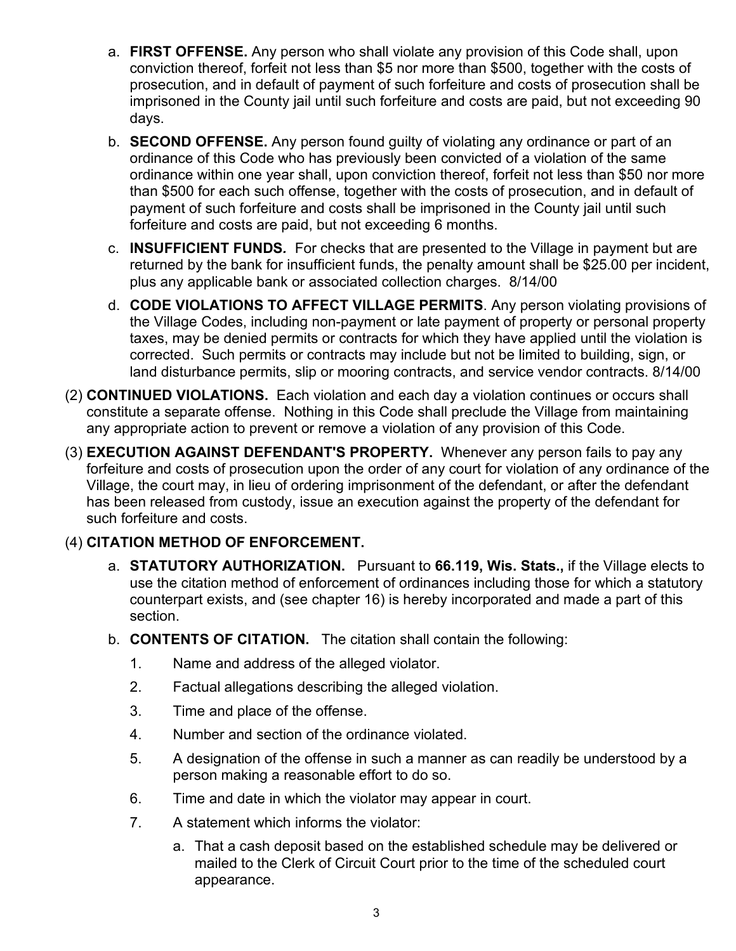- a. **FIRST OFFENSE.** Any person who shall violate any provision of this Code shall, upon conviction thereof, forfeit not less than \$5 nor more than \$500, together with the costs of prosecution, and in default of payment of such forfeiture and costs of prosecution shall be imprisoned in the County jail until such forfeiture and costs are paid, but not exceeding 90 days.
- b. **SECOND OFFENSE.** Any person found guilty of violating any ordinance or part of an ordinance of this Code who has previously been convicted of a violation of the same ordinance within one year shall, upon conviction thereof, forfeit not less than \$50 nor more than \$500 for each such offense, together with the costs of prosecution, and in default of payment of such forfeiture and costs shall be imprisoned in the County jail until such forfeiture and costs are paid, but not exceeding 6 months.
- c. **INSUFFICIENT FUNDS***.* For checks that are presented to the Village in payment but are returned by the bank for insufficient funds, the penalty amount shall be \$25.00 per incident, plus any applicable bank or associated collection charges. 8/14/00
- d. **CODE VIOLATIONS TO AFFECT VILLAGE PERMITS**. Any person violating provisions of the Village Codes, including non-payment or late payment of property or personal property taxes, may be denied permits or contracts for which they have applied until the violation is corrected. Such permits or contracts may include but not be limited to building, sign, or land disturbance permits, slip or mooring contracts, and service vendor contracts. 8/14/00
- (2) **CONTINUED VIOLATIONS.** Each violation and each day a violation continues or occurs shall constitute a separate offense. Nothing in this Code shall preclude the Village from maintaining any appropriate action to prevent or remove a violation of any provision of this Code.
- (3) **EXECUTION AGAINST DEFENDANT'S PROPERTY.** Whenever any person fails to pay any forfeiture and costs of prosecution upon the order of any court for violation of any ordinance of the Village, the court may, in lieu of ordering imprisonment of the defendant, or after the defendant has been released from custody, issue an execution against the property of the defendant for such forfeiture and costs.

# (4) **CITATION METHOD OF ENFORCEMENT.**

- a. **STATUTORY AUTHORIZATION.** Pursuant to **66.119, Wis. Stats.,** if the Village elects to use the citation method of enforcement of ordinances including those for which a statutory counterpart exists, and (see chapter 16) is hereby incorporated and made a part of this section.
- b. **CONTENTS OF CITATION.** The citation shall contain the following:
	- 1. Name and address of the alleged violator.
	- 2. Factual allegations describing the alleged violation.
	- 3. Time and place of the offense.
	- 4. Number and section of the ordinance violated.
	- 5. A designation of the offense in such a manner as can readily be understood by a person making a reasonable effort to do so.
	- 6. Time and date in which the violator may appear in court.
	- 7. A statement which informs the violator:
		- a. That a cash deposit based on the established schedule may be delivered or mailed to the Clerk of Circuit Court prior to the time of the scheduled court appearance.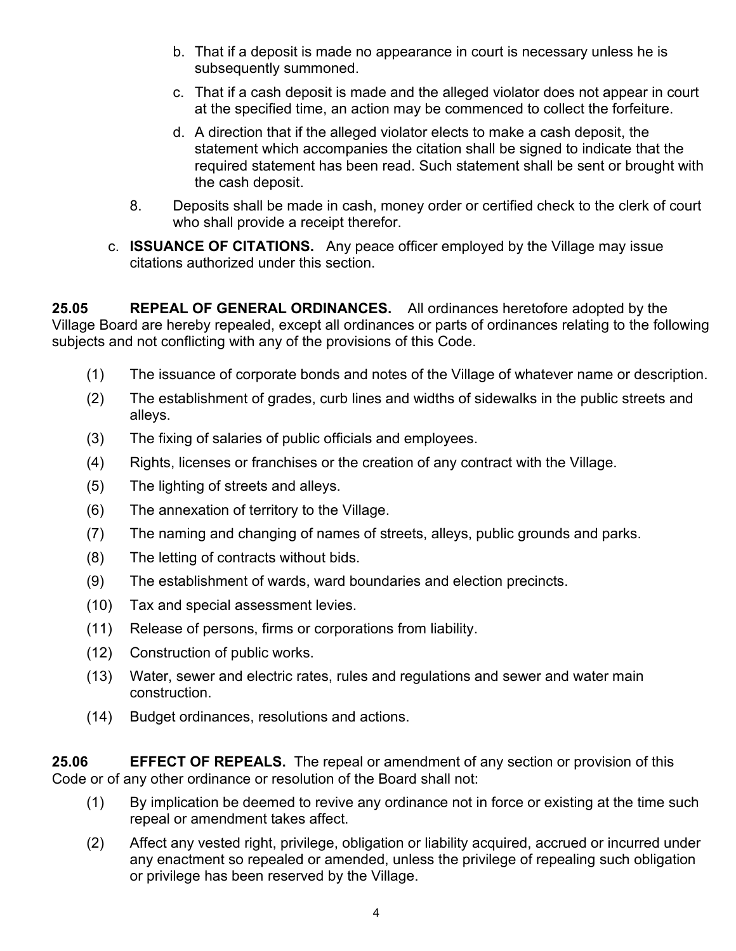- b. That if a deposit is made no appearance in court is necessary unless he is subsequently summoned.
- c. That if a cash deposit is made and the alleged violator does not appear in court at the specified time, an action may be commenced to collect the forfeiture.
- d. A direction that if the alleged violator elects to make a cash deposit, the statement which accompanies the citation shall be signed to indicate that the required statement has been read. Such statement shall be sent or brought with the cash deposit.
- 8. Deposits shall be made in cash, money order or certified check to the clerk of court who shall provide a receipt therefor.
- <span id="page-3-0"></span>c. **ISSUANCE OF CITATIONS.** Any peace officer employed by the Village may issue citations authorized under this section.

**25.05 REPEAL OF GENERAL ORDINANCES.** All ordinances heretofore adopted by the Village Board are hereby repealed, except all ordinances or parts of ordinances relating to the following subjects and not conflicting with any of the provisions of this Code.

- (1) The issuance of corporate bonds and notes of the Village of whatever name or description.
- (2) The establishment of grades, curb lines and widths of sidewalks in the public streets and alleys.
- (3) The fixing of salaries of public officials and employees.
- (4) Rights, licenses or franchises or the creation of any contract with the Village.
- (5) The lighting of streets and alleys.
- (6) The annexation of territory to the Village.
- (7) The naming and changing of names of streets, alleys, public grounds and parks.
- (8) The letting of contracts without bids.
- (9) The establishment of wards, ward boundaries and election precincts.
- (10) Tax and special assessment levies.
- (11) Release of persons, firms or corporations from liability.
- (12) Construction of public works.
- (13) Water, sewer and electric rates, rules and regulations and sewer and water main construction.
- <span id="page-3-1"></span>(14) Budget ordinances, resolutions and actions.

**25.06 EFFECT OF REPEALS.** The repeal or amendment of any section or provision of this Code or of any other ordinance or resolution of the Board shall not:

- (1) By implication be deemed to revive any ordinance not in force or existing at the time such repeal or amendment takes affect.
- (2) Affect any vested right, privilege, obligation or liability acquired, accrued or incurred under any enactment so repealed or amended, unless the privilege of repealing such obligation or privilege has been reserved by the Village.